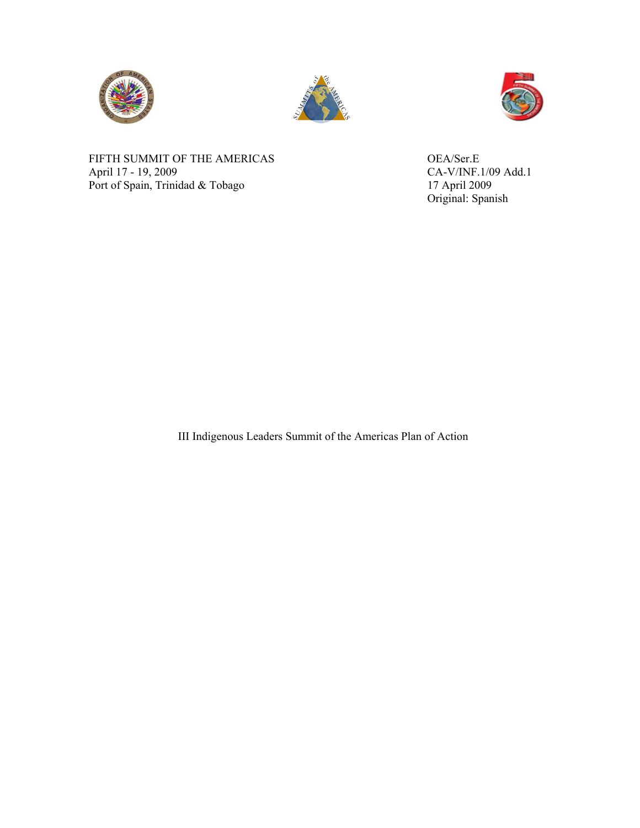





FIFTH SUMMIT OF THE AMERICAS OEA/Ser.E<br>April 17 - 19, 2009 CA-V/INF.1 Port of Spain, Trinidad & Tobago

CA-V/INF.1/09 Add.1<br>17 April 2009 Original: Spanish

III Indigenous Leaders Summit of the Americas Plan of Action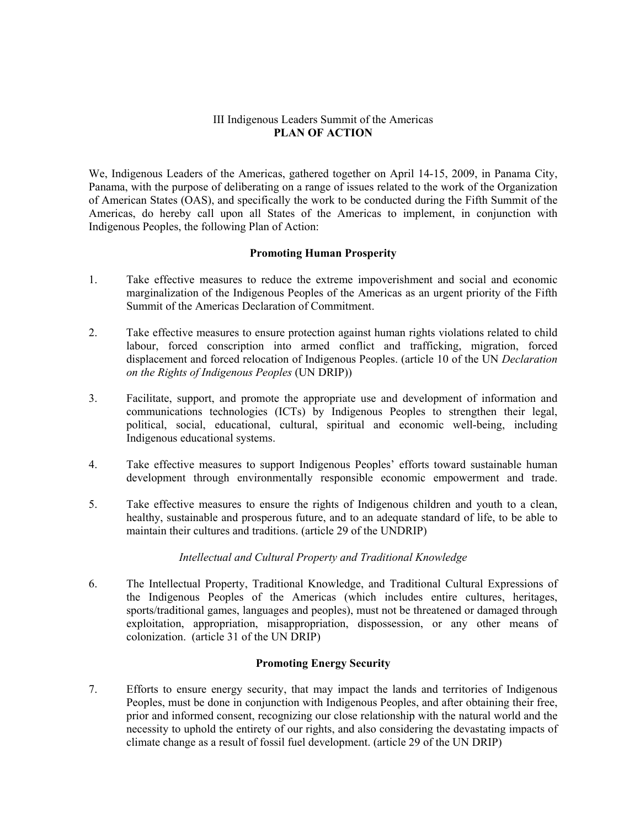### III Indigenous Leaders Summit of the Americas **PLAN OF ACTION**

We, Indigenous Leaders of the Americas, gathered together on April 14-15, 2009, in Panama City, Panama, with the purpose of deliberating on a range of issues related to the work of the Organization of American States (OAS), and specifically the work to be conducted during the Fifth Summit of the Americas, do hereby call upon all States of the Americas to implement, in conjunction with Indigenous Peoples, the following Plan of Action:

# **Promoting Human Prosperity**

- 1. Take effective measures to reduce the extreme impoverishment and social and economic marginalization of the Indigenous Peoples of the Americas as an urgent priority of the Fifth Summit of the Americas Declaration of Commitment.
- 2. Take effective measures to ensure protection against human rights violations related to child labour, forced conscription into armed conflict and trafficking, migration, forced displacement and forced relocation of Indigenous Peoples. (article 10 of the UN *Declaration on the Rights of Indigenous Peoples* (UN DRIP))
- 3. Facilitate, support, and promote the appropriate use and development of information and communications technologies (ICTs) by Indigenous Peoples to strengthen their legal, political, social, educational, cultural, spiritual and economic well-being, including Indigenous educational systems.
- 4. Take effective measures to support Indigenous Peoples' efforts toward sustainable human development through environmentally responsible economic empowerment and trade.
- 5. Take effective measures to ensure the rights of Indigenous children and youth to a clean, healthy, sustainable and prosperous future, and to an adequate standard of life, to be able to maintain their cultures and traditions. (article 29 of the UNDRIP)

# *Intellectual and Cultural Property and Traditional Knowledge*

6. The Intellectual Property, Traditional Knowledge, and Traditional Cultural Expressions of the Indigenous Peoples of the Americas (which includes entire cultures, heritages, sports/traditional games, languages and peoples), must not be threatened or damaged through exploitation, appropriation, misappropriation, dispossession, or any other means of colonization. (article 31 of the UN DRIP)

# **Promoting Energy Security**

7. Efforts to ensure energy security, that may impact the lands and territories of Indigenous Peoples, must be done in conjunction with Indigenous Peoples, and after obtaining their free, prior and informed consent, recognizing our close relationship with the natural world and the necessity to uphold the entirety of our rights, and also considering the devastating impacts of climate change as a result of fossil fuel development. (article 29 of the UN DRIP)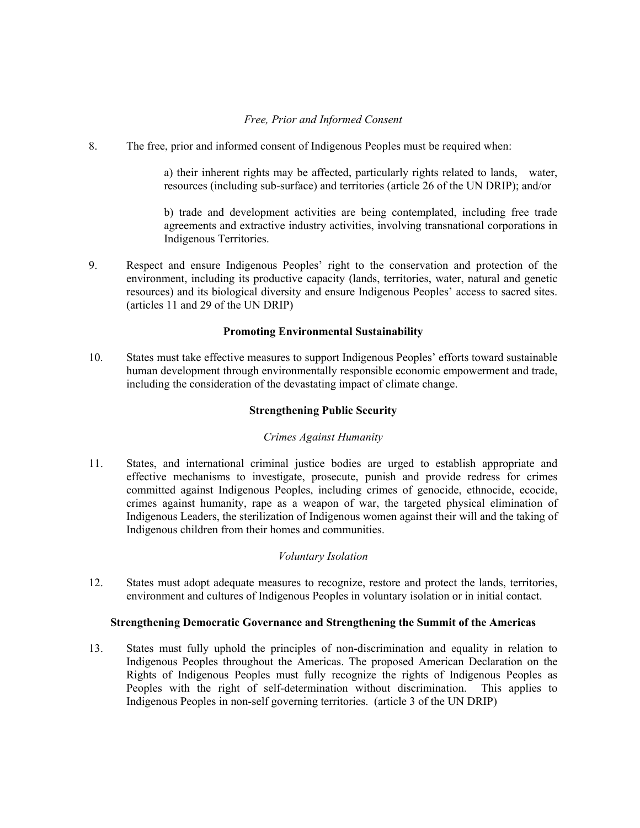# *Free, Prior and Informed Consent*

8. The free, prior and informed consent of Indigenous Peoples must be required when:

a) their inherent rights may be affected, particularly rights related to lands, water, resources (including sub-surface) and territories (article 26 of the UN DRIP); and/or

b) trade and development activities are being contemplated, including free trade agreements and extractive industry activities, involving transnational corporations in Indigenous Territories.

9. Respect and ensure Indigenous Peoples' right to the conservation and protection of the environment, including its productive capacity (lands, territories, water, natural and genetic resources) and its biological diversity and ensure Indigenous Peoples' access to sacred sites. (articles 11 and 29 of the UN DRIP)

# **Promoting Environmental Sustainability**

10. States must take effective measures to support Indigenous Peoples' efforts toward sustainable human development through environmentally responsible economic empowerment and trade, including the consideration of the devastating impact of climate change.

### **Strengthening Public Security**

## *Crimes Against Humanity*

11. States, and international criminal justice bodies are urged to establish appropriate and effective mechanisms to investigate, prosecute, punish and provide redress for crimes committed against Indigenous Peoples, including crimes of genocide, ethnocide, ecocide, crimes against humanity, rape as a weapon of war, the targeted physical elimination of Indigenous Leaders, the sterilization of Indigenous women against their will and the taking of Indigenous children from their homes and communities.

#### *Voluntary Isolation*

12. States must adopt adequate measures to recognize, restore and protect the lands, territories, environment and cultures of Indigenous Peoples in voluntary isolation or in initial contact.

## **Strengthening Democratic Governance and Strengthening the Summit of the Americas**

13. States must fully uphold the principles of non-discrimination and equality in relation to Indigenous Peoples throughout the Americas. The proposed American Declaration on the Rights of Indigenous Peoples must fully recognize the rights of Indigenous Peoples as Peoples with the right of self-determination without discrimination. This applies to Indigenous Peoples in non-self governing territories. (article 3 of the UN DRIP)